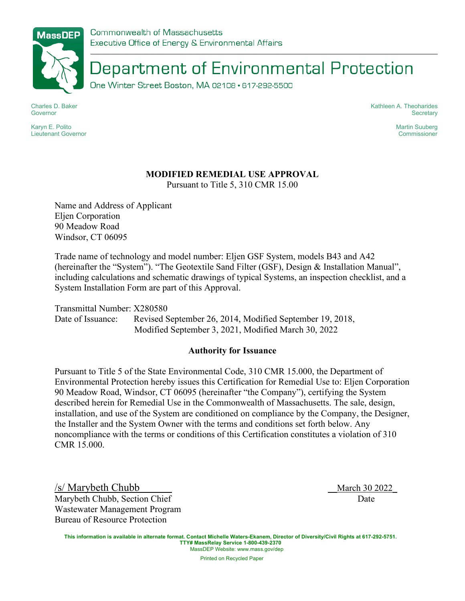

Department of Environmental Protection

One Winter Street Boston, MA 02108 · 617-292-5500

Charles D. Baker Governor

Karyn E. Polito Lieutenant Governor Kathleen A. Theoharides **Secretary** 

> Martin Suuberg **Commissioner**

## **MODIFIED REMEDIAL USE APPROVAL**

Pursuant to Title 5, 310 CMR 15.00

Name and Address of Applicant Eljen Corporation 90 Meadow Road Windsor, CT 06095

Trade name of technology and model number: Eljen GSF System, models B43 and A42 (hereinafter the "System"). "The Geotextile Sand Filter (GSF), Design & Installation Manual", including calculations and schematic drawings of typical Systems, an inspection checklist, and a System Installation Form are part of this Approval.

Transmittal Number: X280580 Date of Issuance: Revised September 26, 2014, Modified September 19, 2018, Modified September 3, 2021, Modified March 30, 2022

## **Authority for Issuance**

Pursuant to Title 5 of the State Environmental Code, 310 CMR 15.000, the Department of Environmental Protection hereby issues this Certification for Remedial Use to: Eljen Corporation 90 Meadow Road, Windsor, CT 06095 (hereinafter "the Company"), certifying the System described herein for Remedial Use in the Commonwealth of Massachusetts. The sale, design, installation, and use of the System are conditioned on compliance by the Company, the Designer, the Installer and the System Owner with the terms and conditions set forth below. Any noncompliance with the terms or conditions of this Certification constitutes a violation of 310 CMR 15.000.

/s/ Marybeth Chubb \_\_March 30 2022\_ Marybeth Chubb, Section Chief Date Wastewater Management Program Bureau of Resource Protection

**This information is available in alternate format. Contact Michelle Waters-Ekanem, Director of Diversity/Civil Rights at 617-292-5751. TTY# MassRelay Service 1-800-439-2370** MassDEP Website: www.mass.gov/dep

Printed on Recycled Paper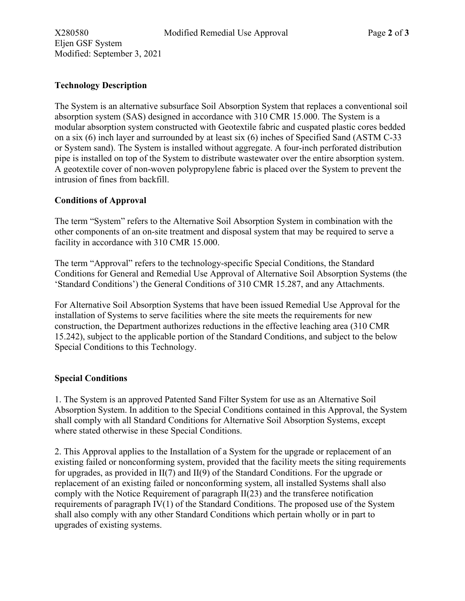Eljen GSF System Modified: September 3, 2021

The System is an alternative subsurface Soil Absorption System that replaces a conventional soil absorption system (SAS) designed in accordance with 310 CMR 15.000. The System is a modular absorption system constructed with Geotextile fabric and cuspated plastic cores bedded on a six (6) inch layer and surrounded by at least six (6) inches of Specified Sand (ASTM C-33 or System sand). The System is installed without aggregate. A four-inch perforated distribution pipe is installed on top of the System to distribute wastewater over the entire absorption system. A geotextile cover of non-woven polypropylene fabric is placed over the System to prevent the intrusion of fines from backfill.

## **Conditions of Approval**

The term "System" refers to the Alternative Soil Absorption System in combination with the other components of an on-site treatment and disposal system that may be required to serve a facility in accordance with 310 CMR 15.000.

The term "Approval" refers to the technology-specific Special Conditions, the Standard Conditions for General and Remedial Use Approval of Alternative Soil Absorption Systems (the 'Standard Conditions') the General Conditions of 310 CMR 15.287, and any Attachments.

For Alternative Soil Absorption Systems that have been issued Remedial Use Approval for the installation of Systems to serve facilities where the site meets the requirements for new construction, the Department authorizes reductions in the effective leaching area (310 CMR 15.242), subject to the applicable portion of the Standard Conditions, and subject to the below Special Conditions to this Technology.

## **Special Conditions**

1. The System is an approved Patented Sand Filter System for use as an Alternative Soil Absorption System. In addition to the Special Conditions contained in this Approval, the System shall comply with all Standard Conditions for Alternative Soil Absorption Systems, except where stated otherwise in these Special Conditions.

2. This Approval applies to the Installation of a System for the upgrade or replacement of an existing failed or nonconforming system, provided that the facility meets the siting requirements for upgrades, as provided in II(7) and II(9) of the Standard Conditions. For the upgrade or replacement of an existing failed or nonconforming system, all installed Systems shall also comply with the Notice Requirement of paragraph II(23) and the transferee notification requirements of paragraph IV(1) of the Standard Conditions. The proposed use of the System shall also comply with any other Standard Conditions which pertain wholly or in part to upgrades of existing systems.